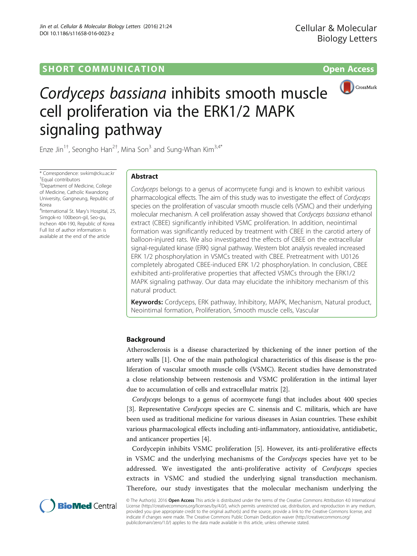## **SHORT COMMUNICATION COMMUNICATION**



# Cordyceps bassiana inhibits smooth muscle cell proliferation via the ERK1/2 MAPK signaling pathway

Enze Jin $^{1\dagger}$ , Seongho Han $^{2\dagger}$ , Mina Son $^3$  and Sung-Whan Kim $^{3,4^*}$ 

\* Correspondence: [swkim@cku.ac.kr](mailto:swkim@cku.ac.kr) † Equal contributors

<sup>3</sup>Department of Medicine, College of Medicine, Catholic Kwandong University, Gangneung, Republic of Korea

4 International St. Mary's Hospital, 25, Simgok-ro 100beon-gil, Seo-gu, Incheon 404-190, Republic of Korea Full list of author information is available at the end of the article

## Abstract

Cordyceps belongs to a genus of acormycete fungi and is known to exhibit various pharmacological effects. The aim of this study was to investigate the effect of Cordyceps species on the proliferation of vascular smooth muscle cells (VSMC) and their underlying molecular mechanism. A cell proliferation assay showed that Cordyceps bassiana ethanol extract (CBEE) significantly inhibited VSMC proliferation. In addition, neointimal formation was significantly reduced by treatment with CBEE in the carotid artery of balloon-injured rats. We also investigated the effects of CBEE on the extracellular signal-regulated kinase (ERK) signal pathway. Western blot analysis revealed increased ERK 1/2 phosphorylation in VSMCs treated with CBEE. Pretreatment with U0126 completely abrogated CBEE-induced ERK 1/2 phosphorylation. In conclusion, CBEE exhibited anti-proliferative properties that affected VSMCs through the ERK1/2 MAPK signaling pathway. Our data may elucidate the inhibitory mechanism of this natural product.

Keywords: Cordyceps, ERK pathway, Inhibitory, MAPK, Mechanism, Natural product, Neointimal formation, Proliferation, Smooth muscle cells, Vascular

## Background

Atherosclerosis is a disease characterized by thickening of the inner portion of the artery walls [\[1](#page-6-0)]. One of the main pathological characteristics of this disease is the proliferation of vascular smooth muscle cells (VSMC). Recent studies have demonstrated a close relationship between restenosis and VSMC proliferation in the intimal layer due to accumulation of cells and extracellular matrix [[2\]](#page-6-0).

Cordyceps belongs to a genus of acormycete fungi that includes about 400 species [[3\]](#page-7-0). Representative *Cordyceps* species are C. sinensis and C. militaris, which are have been used as traditional medicine for various diseases in Asian countries. These exhibit various pharmacological effects including anti-inflammatory, antioxidative, antidiabetic, and anticancer properties [\[4](#page-7-0)].

Cordycepin inhibits VSMC proliferation [[5\]](#page-7-0). However, its anti-proliferative effects in VSMC and the underlying mechanisms of the Cordyceps species have yet to be addressed. We investigated the anti-proliferative activity of Cordyceps species extracts in VSMC and studied the underlying signal transduction mechanism. Therefore, our study investigates that the molecular mechanism underlying the



© The Author(s). 2016 Open Access This article is distributed under the terms of the Creative Commons Attribution 4.0 International License ([http://creativecommons.org/licenses/by/4.0/\)](http://creativecommons.org/licenses/by/4.0/), which permits unrestricted use, distribution, and reproduction in any medium, provided you give appropriate credit to the original author(s) and the source, provide a link to the Creative Commons license, and indicate if changes were made. The Creative Commons Public Domain Dedication waiver ([http://creativecommons.org/](http://creativecommons.org/publicdomain/zero/1.0/) [publicdomain/zero/1.0/\)](http://creativecommons.org/publicdomain/zero/1.0/) applies to the data made available in this article, unless otherwise stated.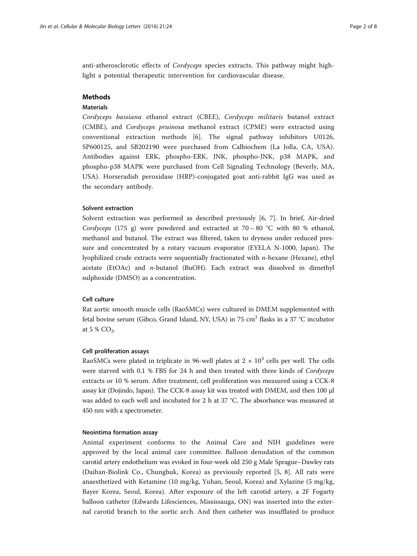anti-atherosclerotic effects of Cordyceps species extracts. This pathway might highlight a potential therapeutic intervention for cardiovascular disease.

## **Methods**

## Materials

Cordyceps bassiana ethanol extract (CBEE), Cordyceps militaris butanol extract (CMBE), and Cordyceps pruinosa methanol extract (CPME) were extracted using conventional extraction methods [[6\]](#page-7-0). The signal pathway inhibitors U0126, SP600125, and SB202190 were purchased from Calbiochem (La Jolla, CA, USA). Antibodies against ERK, phospho-ERK, JNK, phospho-JNK, p38 MAPK, and phospho-p38 MAPK were purchased from Cell Signaling Technology (Beverly, MA, USA). Horseradish peroxidase (HRP)-conjugated goat anti-rabbit IgG was used as the secondary antibody.

## Solvent extraction

Solvent extraction was performed as described previously [\[6](#page-7-0), [7](#page-7-0)]. In brief, Air-dried Cordyceps (175 g) were powdered and extracted at  $70 \sim 80$  °C with 80 % ethanol, methanol and butanol. The extract was filtered, taken to dryness under reduced pressure and concentrated by a rotary vacuum evaporator (EYELA N-1000, Japan). The lyophilized crude extracts were sequentially fractionated with n-hexane (Hexane), ethyl acetate (EtOAc) and  $n$ -butanol (BuOH). Each extract was dissolved in dimethyl sulphoxide (DMSO) as a concentration.

## Cell culture

Rat aortic smooth muscle cells (RaoSMCs) were cultured in DMEM supplemented with fetal bovine serum (Gibco, Grand Island, NY, USA) in 75 cm<sup>2</sup> flasks in a 37 °C incubator at 5 %  $CO<sub>2</sub>$ .

#### Cell proliferation assays

RaoSMCs were plated in triplicate in 96-well plates at  $2 \times 10^3$  cells per well. The cells were starved with 0.1 % FBS for 24 h and then treated with three kinds of Cordyceps extracts or 10 % serum. After treatment, cell proliferation was measured using a CCK-8 assay kit (Dojindo, Japan). The CCK-8 assay kit was treated with DMEM, and then 100 μl was added to each well and incubated for 2 h at 37 °C. The absorbance was measured at 450 nm with a spectrometer.

## Neointima formation assay

Animal experiment conforms to the Animal Care and NIH guidelines were approved by the local animal care committee. Balloon denudation of the common carotid artery endothelium was evoked in four-week old 250 g Male Sprague–Dawley rats (Daihan-Biolink Co., Chungbuk, Korea) as previously reported [[5, 8](#page-7-0)]. All rats were anaesthetized with Ketamine (10 mg/kg, Yuhan, Seoul, Korea) and Xylazine (5 mg/kg, Bayer Korea, Seoul, Korea). After exposure of the left carotid artery, a 2F Fogarty balloon catheter (Edwards Lifesciences, Mississauga, ON) was inserted into the external carotid branch to the aortic arch. And then catheter was insufflated to produce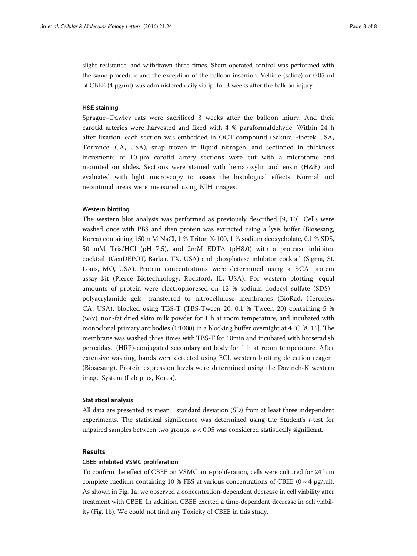slight resistance, and withdrawn three times. Sham-operated control was performed with the same procedure and the exception of the balloon insertion. Vehicle (saline) or 0.05 ml of CBEE (4 μg/ml) was administered daily via ip. for 3 weeks after the balloon injury.

## H&E staining

Sprague–Dawley rats were sacrificed 3 weeks after the balloon injury. And their carotid arteries were harvested and fixed with 4 % paraformaldehyde. Within 24 h after fixation, each section was embedded in OCT compound (Sakura Finetek USA, Torrance, CA, USA), snap frozen in liquid nitrogen, and sectioned in thickness increments of 10-μm carotid artery sections were cut with a microtome and mounted on slides. Sections were stained with hematoxylin and eosin (H&E) and evaluated with light microscopy to assess the histological effects. Normal and neointimal areas were measured using NIH images.

## Western blotting

The western blot analysis was performed as previously described [[9](#page-7-0), [10](#page-7-0)]. Cells were washed once with PBS and then protein was extracted using a lysis buffer (Biosesang, Korea) containing 150 mM NaCl, 1 % Triton X-100, 1 % sodium deoxycholate, 0.1 % SDS, 50 mM Tris/HCl (pH 7.5), and 2mM EDTA (pH8.0) with a protease inhibitor cocktail (GenDEPOT, Barker, TX, USA) and phosphatase inhibitor cocktail (Sigma, St. Louis, MO, USA). Protein concentrations were determined using a BCA protein assay kit (Pierce Biotechnology, Rockford, IL, USA). For western blotting, equal amounts of protein were electrophoresed on 12 % sodium dodecyl sulfate (SDS)– polyacrylamide gels, transferred to nitrocellulose membranes (BioRad, Hercules, CA, USA), blocked using TBS-T (TBS-Tween 20; 0.1 % Tween 20) containing 5 %  $(w/v)$  non-fat dried skim milk powder for 1 h at room temperature, and incubated with monoclonal primary antibodies (1:1000) in a blocking buffer overnight at 4 °C [[8](#page-7-0), [11\]](#page-7-0). The membrane was washed three times with TBS-T for 10min and incubated with horseradish peroxidase (HRP)-conjugated secondary antibody for 1 h at room temperature. After extensive washing, bands were detected using ECL western blotting detection reagent (Biosesang). Protein expression levels were determined using the Davinch-K western image System (Lab plus, Korea).

## Statistical analysis

All data are presented as mean ± standard deviation (SD) from at least three independent experiments. The statistical significance was determined using the Student's t-test for unpaired samples between two groups.  $p < 0.05$  was considered statistically significant.

## Results

## CBEE inhibited VSMC proliferation

To confirm the effect of CBEE on VSMC anti-proliferation, cells were cultured for 24 h in complete medium containing 10 % FBS at various concentrations of CBEE ( $0 \sim 4 \mu g/ml$ ). As shown in Fig. [1a,](#page-3-0) we observed a concentration-dependent decrease in cell viability after treatment with CBEE. In addition, CBEE exerted a time-dependent decrease in cell viability (Fig. [1b\)](#page-3-0). We could not find any Toxicity of CBEE in this study.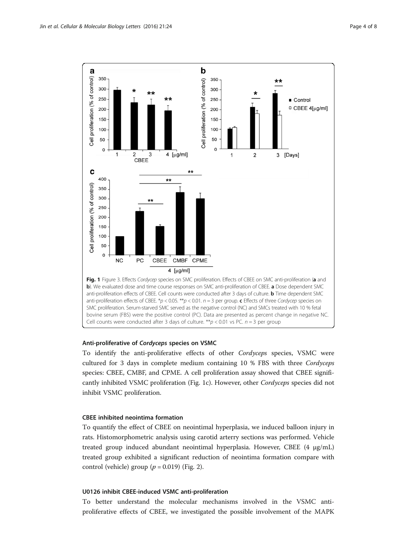<span id="page-3-0"></span>

## Anti-proliferative of Cordyceps species on VSMC

To identify the anti-proliferative effects of other Cordyceps species, VSMC were cultured for 3 days in complete medium containing 10 % FBS with three Cordyceps species: CBEE, CMBF, and CPME. A cell proliferation assay showed that CBEE significantly inhibited VSMC proliferation (Fig. 1c). However, other Cordyceps species did not inhibit VSMC proliferation.

## CBEE inhibited neointima formation

To quantify the effect of CBEE on neointimal hyperplasia, we induced balloon injury in rats. Histomorphometric analysis using carotid arterry sections was performed. Vehicle treated group induced abundant neointimal hyperplasia. However, CBEE (4 μg/mL) treated group exhibited a significant reduction of neointima formation compare with control (vehicle) group ( $p = 0.019$ ) (Fig. [2\)](#page-4-0).

## U0126 inhibit CBEE-induced VSMC anti-proliferation

To better understand the molecular mechanisms involved in the VSMC antiproliferative effects of CBEE, we investigated the possible involvement of the MAPK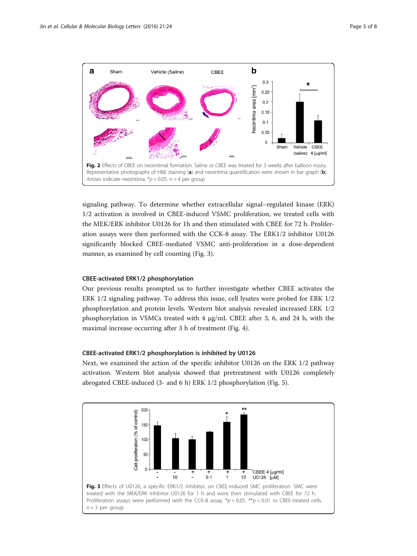<span id="page-4-0"></span>

signaling pathway. To determine whether extracellular signal–regulated kinase (ERK) 1/2 activation is involved in CBEE-induced VSMC proliferation, we treated cells with the MEK/ERK inhibitor U0126 for 1h and then stimulated with CBEE for 72 h. Proliferation assays were then performed with the CCK-8 assay. The ERK1/2 inhibitor U0126 significantly blocked CBEE-mediated VSMC anti-proliferation in a dose-dependent manner, as examined by cell counting (Fig. 3).

## CBEE-activated ERK1/2 phosphorylation

Our previous results prompted us to further investigate whether CBEE activates the ERK 1/2 signaling pathway. To address this issue, cell lysates were probed for ERK 1/2 phosphorylation and protein levels. Western blot analysis revealed increased ERK 1/2 phosphorylation in VSMCs treated with 4 μg/mL CBEE after 3, 6, and 24 h, with the maximal increase occurring after 3 h of treatment (Fig. [4\)](#page-5-0).

## CBEE-activated ERK1/2 phosphorylation is inhibited by U0126

Next, we examined the action of the specific inhibitor U0126 on the ERK 1/2 pathway activation. Western blot analysis showed that pretreatment with U0126 completely abrogated CBEE-induced (3- and 6 h) ERK 1/2 phosphorylation (Fig. [5\)](#page-5-0).

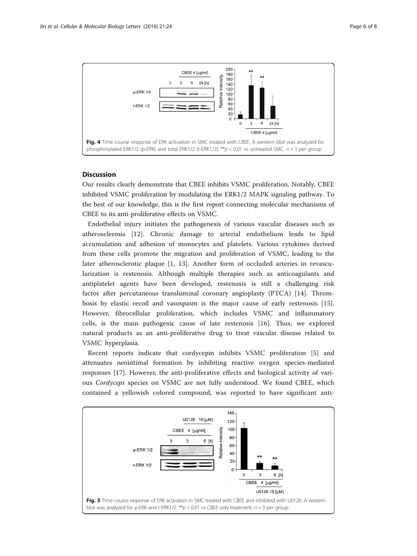<span id="page-5-0"></span>

## **Discussion**

Our results clearly demonstrate that CBEE inhibits VSMC proliferation. Notably, CBEE inhibited VSMC proliferation by modulating the ERK1/2 MAPK signaling pathway. To the best of our knowledge, this is the first report connecting molecular mechanisms of CBEE to its anti-proliferative effects on VSMC.

Endothelial injury initiates the pathogenesis of various vascular diseases such as atherosclerosis [[12\]](#page-7-0). Chronic damage to arterial endothelium leads to lipid accumulation and adhesion of monocytes and platelets. Various cytokines derived from these cells promote the migration and proliferation of VSMC, leading to the later atherosclerotic plaque [[1,](#page-6-0) [13\]](#page-7-0). Another form of occluded arteries in revascularization is restenosis. Although multiple therapies such as anticoagulants and antiplatelet agents have been developed, restenosis is still a challenging risk factor after percutaneous transluminal coronary angioplasty (PTCA) [\[14](#page-7-0)]. Thrombosis by elastic recoil and vasospasm is the major cause of early restenosis [\[15](#page-7-0)]. However, fibrocellular proliferation, which includes VSMC and inflammatory cells, is the main pathogenic cause of late restenosis [[16\]](#page-7-0). Thus, we explored natural products as an anti-proliferative drug to treat vascular disease related to VSMC hyperplasia.

Recent reports indicate that cordycepin inhibits VSMC proliferation [\[5](#page-7-0)] and attenuates neointimal formation by inhibiting reactive oxygen species-mediated responses [\[17](#page-7-0)]. However, the anti-proliferative effects and biological activity of various Cordyceps species on VSMC are not fully understood. We found CBEE, which contained a yellowish colored compound, was reported to have significant anti-

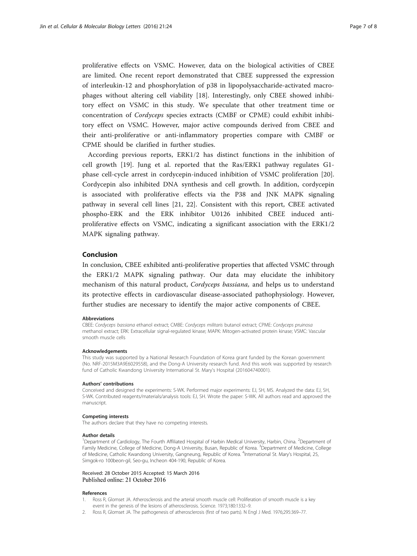<span id="page-6-0"></span>proliferative effects on VSMC. However, data on the biological activities of CBEE are limited. One recent report demonstrated that CBEE suppressed the expression of interleukin-12 and phosphorylation of p38 in lipopolysaccharide-activated macrophages without altering cell viability [\[18](#page-7-0)]. Interestingly, only CBEE showed inhibitory effect on VSMC in this study. We speculate that other treatment time or concentration of Cordyceps species extracts (CMBF or CPME) could exhibit inhibitory effect on VSMC. However, major active compounds derived from CBEE and their anti-proliferative or anti-inflammatory properties compare with CMBF or CPME should be clarified in further studies.

According previous reports, ERK1/2 has distinct functions in the inhibition of cell growth [[19\]](#page-7-0). Jung et al. reported that the Ras/ERK1 pathway regulates G1 phase cell-cycle arrest in cordycepin-induced inhibition of VSMC proliferation [[20](#page-7-0)]. Cordycepin also inhibited DNA synthesis and cell growth. In addition, cordycepin is associated with proliferative effects via the P38 and JNK MAPK signaling pathway in several cell lines [\[21](#page-7-0), [22](#page-7-0)]. Consistent with this report, CBEE activated phospho-ERK and the ERK inhibitor U0126 inhibited CBEE induced antiproliferative effects on VSMC, indicating a significant association with the ERK1/2 MAPK signaling pathway.

## Conclusion

In conclusion, CBEE exhibited anti-proliferative properties that affected VSMC through the ERK1/2 MAPK signaling pathway. Our data may elucidate the inhibitory mechanism of this natural product, Cordyceps bassiana, and helps us to understand its protective effects in cardiovascular disease-associated pathophysiology. However, further studies are necessary to identify the major active components of CBEE.

#### Abbreviations

CBEE: Cordyceps bassiana ethanol extract; CMBE: Cordyceps militaris butanol extract; CPME: Cordyceps pruinosa methanol extract; ERK: Extracellular signal-regulated kinase; MAPK: Mitogen-activated protein kinase; VSMC: Vascular smooth muscle cells

#### Acknowledgements

This study was supported by a National Research Foundation of Korea grant funded by the Korean government (No. NRF-2015M3A9E6029558), and the Dong-A University research fund. And this work was supported by research fund of Catholic Kwandong University International St. Mary's Hospital (201604740001).

#### Authors' contributions

Conceived and designed the experiments: S-WK. Performed major experiments: EJ, SH, MS. Analyzed the data: EJ, SH, S-WK. Contributed reagents/materials/analysis tools: EJ, SH. Wrote the paper: S-WK. All authors read and approved the manuscript.

## Competing interests

The authors declare that they have no competing interests.

#### Author details

<sup>1</sup>Department of Cardiology, The Fourth Affiliated Hospital of Harbin Medical University, Harbin, China. <sup>2</sup>Department of Family Medicine, College of Medicine, Dong-A University, Busan, Republic of Korea. <sup>3</sup>Department of Medicine, College of Medicine, Catholic Kwandong University, Gangneung, Republic of Korea. <sup>4</sup>International St. Mary's Hospital, 25, Simgok-ro 100beon-gil, Seo-gu, Incheon 404-190, Republic of Korea.

## Received: 28 October 2015 Accepted: 15 March 2016 Published online: 21 October 2016

#### References

- Ross R, Glomset JA. Atherosclerosis and the arterial smooth muscle cell: Proliferation of smooth muscle is a key event in the genesis of the lesions of atherosclerosis. Science. 1973;180:1332–9.
- 2. Ross R, Glomset JA. The pathogenesis of atherosclerosis (first of two parts). N Engl J Med. 1976;295:369–77.